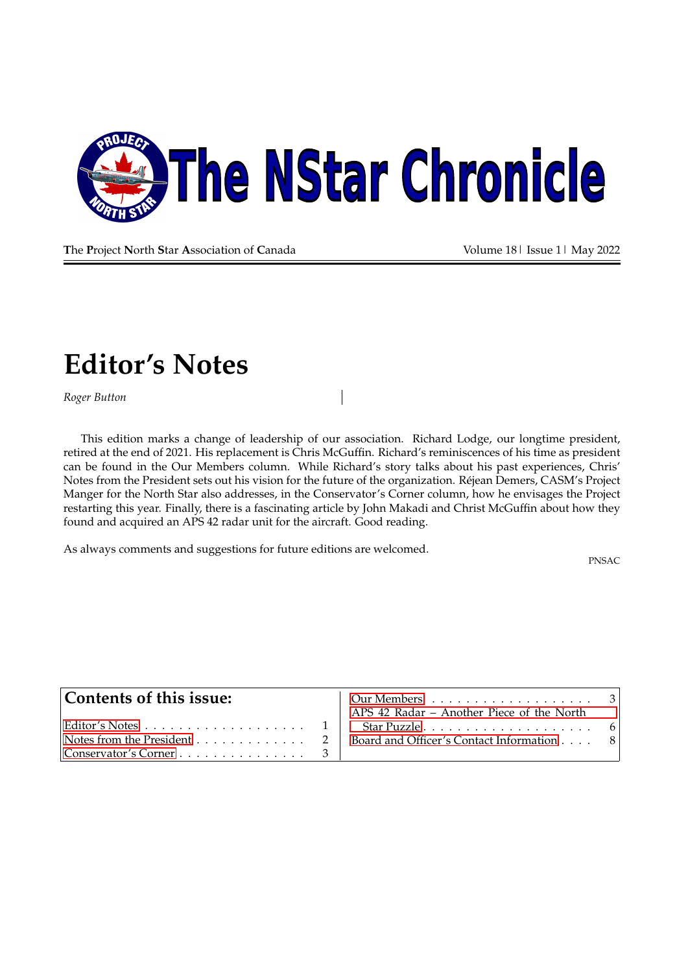

**T**he **P**roject **N**orth **S**tar **A**ssociation of **C**anada Volume 18| Issue 1| May 2022

### <span id="page-0-0"></span>**Editor's Notes**

*Roger Button*

This edition marks a change of leadership of our association. Richard Lodge, our longtime president, retired at the end of 2021. His replacement is Chris McGuffin. Richard's reminiscences of his time as president can be found in the Our Members column. While Richard's story talks about his past experiences, Chris' Notes from the President sets out his vision for the future of the organization. Réjean Demers, CASM's Project Manger for the North Star also addresses, in the Conservator's Corner column, how he envisages the Project restarting this year. Finally, there is a fascinating article by John Makadi and Christ McGuffin about how they found and acquired an APS 42 radar unit for the aircraft. Good reading.

As always comments and suggestions for future editions are welcomed.

PNSAC

| Contents of this issue:                                         | APS 42 Radar - Another Piece of the North                              |  |
|-----------------------------------------------------------------|------------------------------------------------------------------------|--|
|                                                                 |                                                                        |  |
|                                                                 | Notes from the President 2   Board and Officer's Contact Information 8 |  |
| $ $ Conservator's Corner $\ldots \ldots \ldots \ldots \ldots$ 3 |                                                                        |  |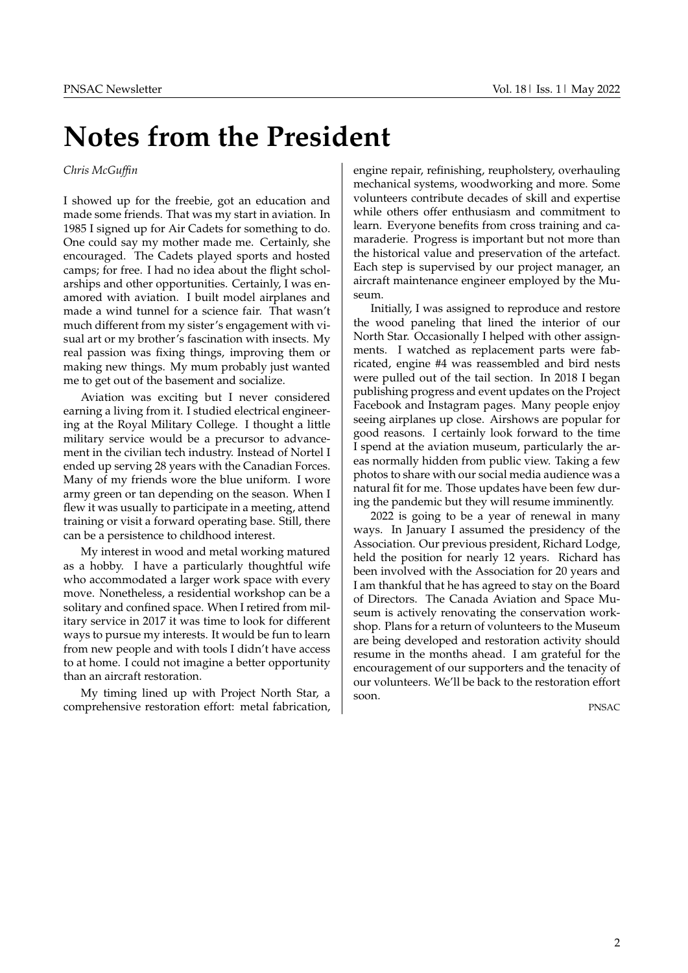# <span id="page-1-0"></span>**Notes from the President**

#### *Chris McGuffin*

I showed up for the freebie, got an education and made some friends. That was my start in aviation. In 1985 I signed up for Air Cadets for something to do. One could say my mother made me. Certainly, she encouraged. The Cadets played sports and hosted camps; for free. I had no idea about the flight scholarships and other opportunities. Certainly, I was enamored with aviation. I built model airplanes and made a wind tunnel for a science fair. That wasn't much different from my sister's engagement with visual art or my brother's fascination with insects. My real passion was fixing things, improving them or making new things. My mum probably just wanted me to get out of the basement and socialize.

Aviation was exciting but I never considered earning a living from it. I studied electrical engineering at the Royal Military College. I thought a little military service would be a precursor to advancement in the civilian tech industry. Instead of Nortel I ended up serving 28 years with the Canadian Forces. Many of my friends wore the blue uniform. I wore army green or tan depending on the season. When I flew it was usually to participate in a meeting, attend training or visit a forward operating base. Still, there can be a persistence to childhood interest.

My interest in wood and metal working matured as a hobby. I have a particularly thoughtful wife who accommodated a larger work space with every move. Nonetheless, a residential workshop can be a solitary and confined space. When I retired from military service in 2017 it was time to look for different ways to pursue my interests. It would be fun to learn from new people and with tools I didn't have access to at home. I could not imagine a better opportunity than an aircraft restoration.

My timing lined up with Project North Star, a comprehensive restoration effort: metal fabrication, engine repair, refinishing, reupholstery, overhauling mechanical systems, woodworking and more. Some volunteers contribute decades of skill and expertise while others offer enthusiasm and commitment to learn. Everyone benefits from cross training and camaraderie. Progress is important but not more than the historical value and preservation of the artefact. Each step is supervised by our project manager, an aircraft maintenance engineer employed by the Museum.

Initially, I was assigned to reproduce and restore the wood paneling that lined the interior of our North Star. Occasionally I helped with other assignments. I watched as replacement parts were fabricated, engine #4 was reassembled and bird nests were pulled out of the tail section. In 2018 I began publishing progress and event updates on the Project Facebook and Instagram pages. Many people enjoy seeing airplanes up close. Airshows are popular for good reasons. I certainly look forward to the time I spend at the aviation museum, particularly the areas normally hidden from public view. Taking a few photos to share with our social media audience was a natural fit for me. Those updates have been few during the pandemic but they will resume imminently.

2022 is going to be a year of renewal in many ways. In January I assumed the presidency of the Association. Our previous president, Richard Lodge, held the position for nearly 12 years. Richard has been involved with the Association for 20 years and I am thankful that he has agreed to stay on the Board of Directors. The Canada Aviation and Space Museum is actively renovating the conservation workshop. Plans for a return of volunteers to the Museum are being developed and restoration activity should resume in the months ahead. I am grateful for the encouragement of our supporters and the tenacity of our volunteers. We'll be back to the restoration effort soon.

PNSAC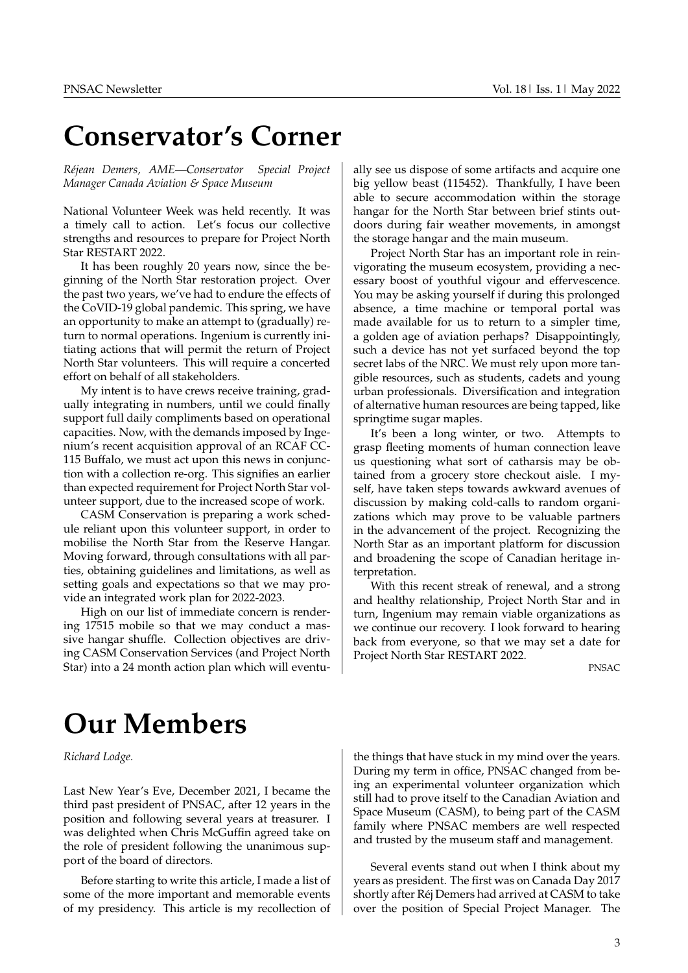### <span id="page-2-0"></span>**Conservator's Corner**

*Réjean Demers, AME*-Conservator Special Project *Manager Canada Aviation & Space Museum*

National Volunteer Week was held recently. It was a timely call to action. Let's focus our collective strengths and resources to prepare for Project North Star RESTART 2022.

It has been roughly 20 years now, since the beginning of the North Star restoration project. Over the past two years, we've had to endure the effects of the CoVID-19 global pandemic. This spring, we have an opportunity to make an attempt to (gradually) return to normal operations. Ingenium is currently initiating actions that will permit the return of Project North Star volunteers. This will require a concerted effort on behalf of all stakeholders.

My intent is to have crews receive training, gradually integrating in numbers, until we could finally support full daily compliments based on operational capacities. Now, with the demands imposed by Ingenium's recent acquisition approval of an RCAF CC-115 Buffalo, we must act upon this news in conjunction with a collection re-org. This signifies an earlier than expected requirement for Project North Star volunteer support, due to the increased scope of work.

CASM Conservation is preparing a work schedule reliant upon this volunteer support, in order to mobilise the North Star from the Reserve Hangar. Moving forward, through consultations with all parties, obtaining guidelines and limitations, as well as setting goals and expectations so that we may provide an integrated work plan for 2022-2023.

High on our list of immediate concern is rendering 17515 mobile so that we may conduct a massive hangar shuffle. Collection objectives are driving CASM Conservation Services (and Project North Star) into a 24 month action plan which will eventually see us dispose of some artifacts and acquire one big yellow beast (115452). Thankfully, I have been able to secure accommodation within the storage hangar for the North Star between brief stints outdoors during fair weather movements, in amongst the storage hangar and the main museum.

Project North Star has an important role in reinvigorating the museum ecosystem, providing a necessary boost of youthful vigour and effervescence. You may be asking yourself if during this prolonged absence, a time machine or temporal portal was made available for us to return to a simpler time, a golden age of aviation perhaps? Disappointingly, such a device has not yet surfaced beyond the top secret labs of the NRC. We must rely upon more tangible resources, such as students, cadets and young urban professionals. Diversification and integration of alternative human resources are being tapped, like springtime sugar maples.

It's been a long winter, or two. Attempts to grasp fleeting moments of human connection leave us questioning what sort of catharsis may be obtained from a grocery store checkout aisle. I myself, have taken steps towards awkward avenues of discussion by making cold-calls to random organizations which may prove to be valuable partners in the advancement of the project. Recognizing the North Star as an important platform for discussion and broadening the scope of Canadian heritage interpretation.

With this recent streak of renewal, and a strong and healthy relationship, Project North Star and in turn, Ingenium may remain viable organizations as we continue our recovery. I look forward to hearing back from everyone, so that we may set a date for Project North Star RESTART 2022.

PNSAC

# <span id="page-2-1"></span>**Our Members**

*Richard Lodge.*

Last New Year's Eve, December 2021, I became the third past president of PNSAC, after 12 years in the position and following several years at treasurer. I was delighted when Chris McGuffin agreed take on the role of president following the unanimous support of the board of directors.

Before starting to write this article, I made a list of some of the more important and memorable events of my presidency. This article is my recollection of the things that have stuck in my mind over the years. During my term in office, PNSAC changed from being an experimental volunteer organization which still had to prove itself to the Canadian Aviation and Space Museum (CASM), to being part of the CASM family where PNSAC members are well respected and trusted by the museum staff and management.

Several events stand out when I think about my years as president. The first was on Canada Day 2017 shortly after Réj Demers had arrived at CASM to take over the position of Special Project Manager. The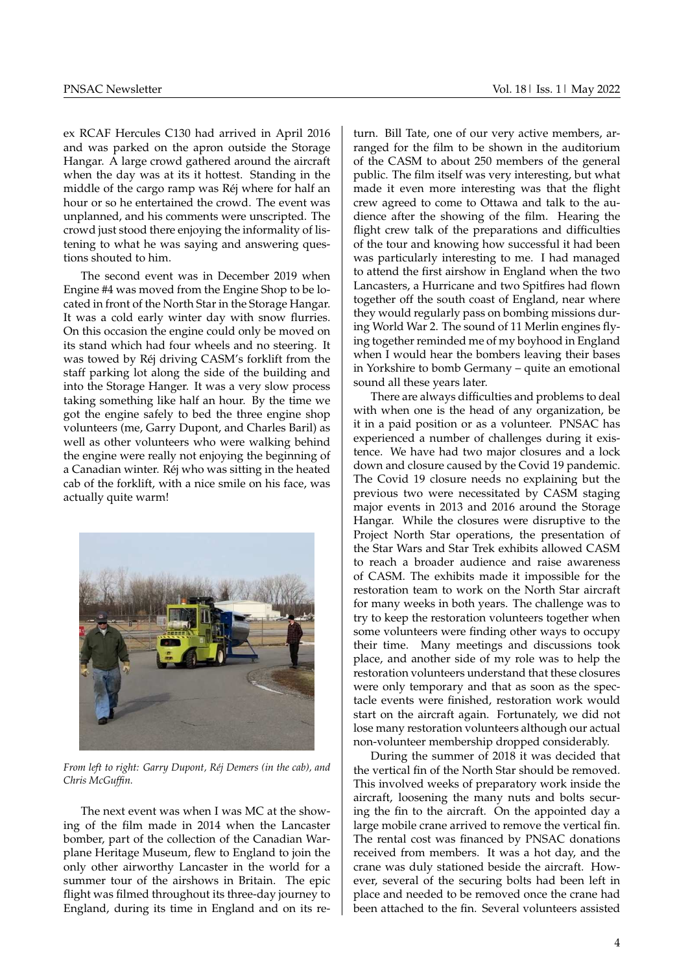ex RCAF Hercules C130 had arrived in April 2016 and was parked on the apron outside the Storage Hangar. A large crowd gathered around the aircraft when the day was at its it hottest. Standing in the middle of the cargo ramp was Réj where for half an hour or so he entertained the crowd. The event was unplanned, and his comments were unscripted. The crowd just stood there enjoying the informality of listening to what he was saying and answering questions shouted to him.

The second event was in December 2019 when Engine #4 was moved from the Engine Shop to be located in front of the North Star in the Storage Hangar. It was a cold early winter day with snow flurries. On this occasion the engine could only be moved on its stand which had four wheels and no steering. It was towed by Réj driving CASM's forklift from the staff parking lot along the side of the building and into the Storage Hanger. It was a very slow process taking something like half an hour. By the time we got the engine safely to bed the three engine shop volunteers (me, Garry Dupont, and Charles Baril) as well as other volunteers who were walking behind the engine were really not enjoying the beginning of a Canadian winter. Réj who was sitting in the heated cab of the forklift, with a nice smile on his face, was actually quite warm!



*From left to right: Garry Dupont, Réj Demers (in the cab), and Chris McGuffin.*

The next event was when I was MC at the showing of the film made in 2014 when the Lancaster bomber, part of the collection of the Canadian Warplane Heritage Museum, flew to England to join the only other airworthy Lancaster in the world for a summer tour of the airshows in Britain. The epic flight was filmed throughout its three-day journey to England, during its time in England and on its return. Bill Tate, one of our very active members, arranged for the film to be shown in the auditorium of the CASM to about 250 members of the general public. The film itself was very interesting, but what made it even more interesting was that the flight crew agreed to come to Ottawa and talk to the audience after the showing of the film. Hearing the flight crew talk of the preparations and difficulties of the tour and knowing how successful it had been was particularly interesting to me. I had managed to attend the first airshow in England when the two Lancasters, a Hurricane and two Spitfires had flown together off the south coast of England, near where they would regularly pass on bombing missions during World War 2. The sound of 11 Merlin engines flying together reminded me of my boyhood in England when I would hear the bombers leaving their bases in Yorkshire to bomb Germany – quite an emotional sound all these years later.

There are always difficulties and problems to deal with when one is the head of any organization, be it in a paid position or as a volunteer. PNSAC has experienced a number of challenges during it existence. We have had two major closures and a lock down and closure caused by the Covid 19 pandemic. The Covid 19 closure needs no explaining but the previous two were necessitated by CASM staging major events in 2013 and 2016 around the Storage Hangar. While the closures were disruptive to the Project North Star operations, the presentation of the Star Wars and Star Trek exhibits allowed CASM to reach a broader audience and raise awareness of CASM. The exhibits made it impossible for the restoration team to work on the North Star aircraft for many weeks in both years. The challenge was to try to keep the restoration volunteers together when some volunteers were finding other ways to occupy their time. Many meetings and discussions took place, and another side of my role was to help the restoration volunteers understand that these closures were only temporary and that as soon as the spectacle events were finished, restoration work would start on the aircraft again. Fortunately, we did not lose many restoration volunteers although our actual non-volunteer membership dropped considerably.

During the summer of 2018 it was decided that the vertical fin of the North Star should be removed. This involved weeks of preparatory work inside the aircraft, loosening the many nuts and bolts securing the fin to the aircraft. On the appointed day a large mobile crane arrived to remove the vertical fin. The rental cost was financed by PNSAC donations received from members. It was a hot day, and the crane was duly stationed beside the aircraft. However, several of the securing bolts had been left in place and needed to be removed once the crane had been attached to the fin. Several volunteers assisted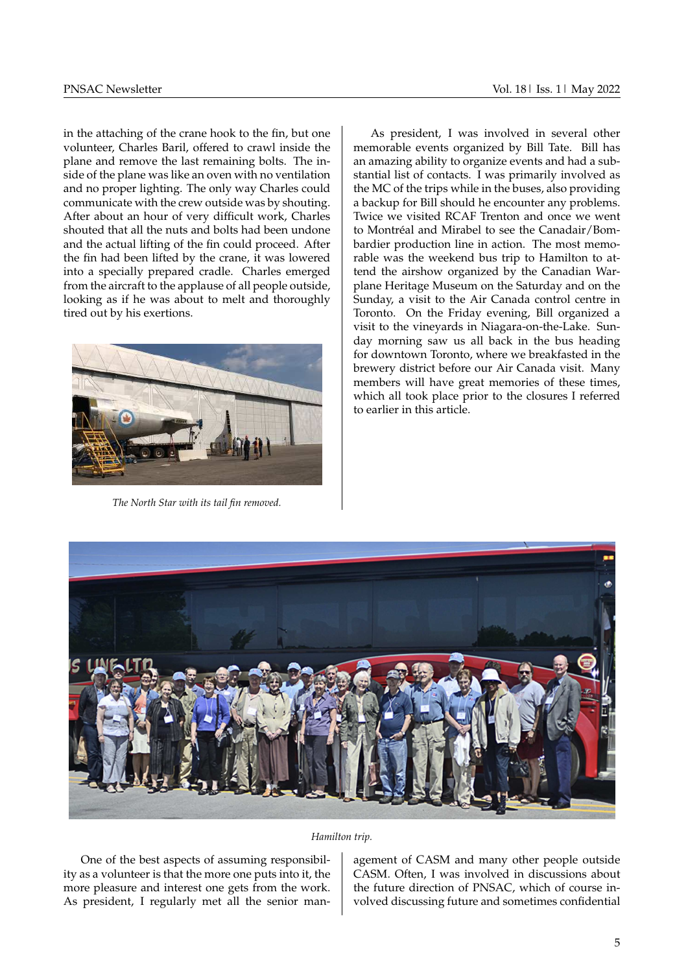in the attaching of the crane hook to the fin, but one volunteer, Charles Baril, offered to crawl inside the plane and remove the last remaining bolts. The inside of the plane was like an oven with no ventilation and no proper lighting. The only way Charles could communicate with the crew outside was by shouting. After about an hour of very difficult work, Charles shouted that all the nuts and bolts had been undone and the actual lifting of the fin could proceed. After the fin had been lifted by the crane, it was lowered into a specially prepared cradle. Charles emerged from the aircraft to the applause of all people outside, looking as if he was about to melt and thoroughly tired out by his exertions.



*The North Star with its tail fin removed.*

As president, I was involved in several other memorable events organized by Bill Tate. Bill has an amazing ability to organize events and had a substantial list of contacts. I was primarily involved as the MC of the trips while in the buses, also providing a backup for Bill should he encounter any problems. Twice we visited RCAF Trenton and once we went to Montréal and Mirabel to see the Canadair/Bombardier production line in action. The most memorable was the weekend bus trip to Hamilton to attend the airshow organized by the Canadian Warplane Heritage Museum on the Saturday and on the Sunday, a visit to the Air Canada control centre in Toronto. On the Friday evening, Bill organized a visit to the vineyards in Niagara-on-the-Lake. Sunday morning saw us all back in the bus heading for downtown Toronto, where we breakfasted in the brewery district before our Air Canada visit. Many members will have great memories of these times, which all took place prior to the closures I referred to earlier in this article.



#### *Hamilton trip.*

One of the best aspects of assuming responsibility as a volunteer is that the more one puts into it, the more pleasure and interest one gets from the work. As president, I regularly met all the senior management of CASM and many other people outside CASM. Often, I was involved in discussions about the future direction of PNSAC, which of course involved discussing future and sometimes confidential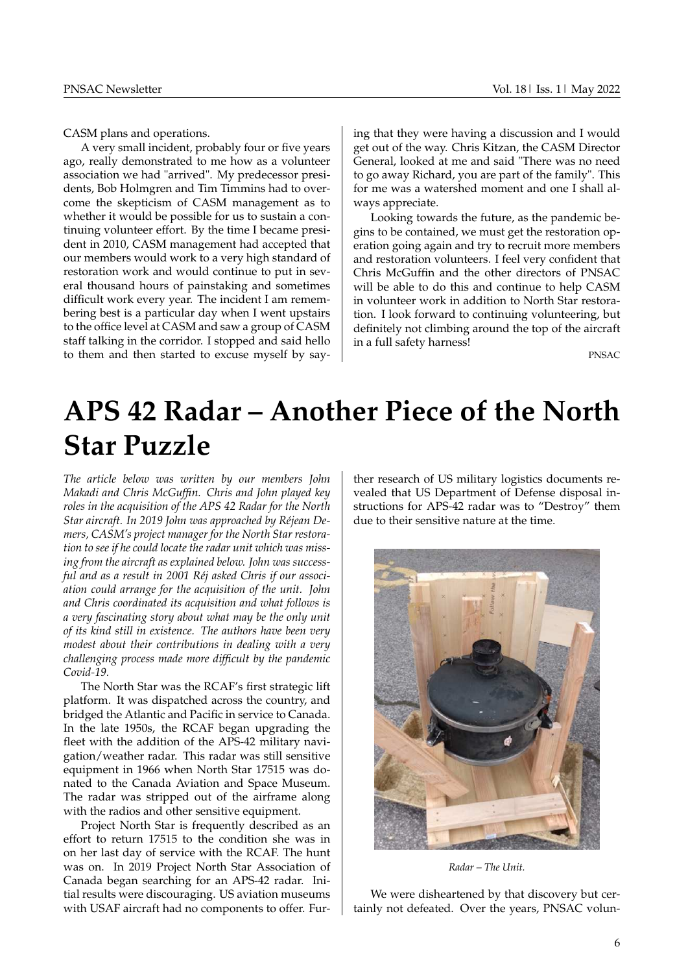CASM plans and operations.

A very small incident, probably four or five years ago, really demonstrated to me how as a volunteer association we had "arrived". My predecessor presidents, Bob Holmgren and Tim Timmins had to overcome the skepticism of CASM management as to whether it would be possible for us to sustain a continuing volunteer effort. By the time I became president in 2010, CASM management had accepted that our members would work to a very high standard of restoration work and would continue to put in several thousand hours of painstaking and sometimes difficult work every year. The incident I am remembering best is a particular day when I went upstairs to the office level at CASM and saw a group of CASM staff talking in the corridor. I stopped and said hello to them and then started to excuse myself by saying that they were having a discussion and I would get out of the way. Chris Kitzan, the CASM Director General, looked at me and said "There was no need to go away Richard, you are part of the family". This for me was a watershed moment and one I shall always appreciate.

Looking towards the future, as the pandemic begins to be contained, we must get the restoration operation going again and try to recruit more members and restoration volunteers. I feel very confident that Chris McGuffin and the other directors of PNSAC will be able to do this and continue to help CASM in volunteer work in addition to North Star restoration. I look forward to continuing volunteering, but definitely not climbing around the top of the aircraft in a full safety harness!

PNSAC

# <span id="page-5-0"></span>**APS 42 Radar ± Another Piece of the North Star Puzzle**

*The article below was written by our members John Makadi and Chris McGuffin. Chris and John played key roles in the acquisition of the APS 42 Radar for the North Star aircraft. In 2019 John was approached by Réjean Demers, CASM's project manager for the North Star restoration to see if he could locate the radar unit which was missing from the aircraft as explained below. John was successful and as a result in 2001 Réj asked Chris if our association could arrange for the acquisition of the unit. John and Chris coordinated its acquisition and what follows is a very fascinating story about what may be the only unit of its kind still in existence. The authors have been very modest about their contributions in dealing with a very challenging process made more difficult by the pandemic Covid-19.*

The North Star was the RCAF's first strategic lift platform. It was dispatched across the country, and bridged the Atlantic and Pacific in service to Canada. In the late 1950s, the RCAF began upgrading the fleet with the addition of the APS-42 military navigation/weather radar. This radar was still sensitive equipment in 1966 when North Star 17515 was donated to the Canada Aviation and Space Museum. The radar was stripped out of the airframe along with the radios and other sensitive equipment.

Project North Star is frequently described as an effort to return 17515 to the condition she was in on her last day of service with the RCAF. The hunt was on. In 2019 Project North Star Association of Canada began searching for an APS-42 radar. Initial results were discouraging. US aviation museums with USAF aircraft had no components to offer. Fur-

ther research of US military logistics documents revealed that US Department of Defense disposal instructions for APS-42 radar was to "Destroy" them due to their sensitive nature at the time.

![](_page_5_Picture_12.jpeg)

*Radar ± The Unit.*

We were disheartened by that discovery but certainly not defeated. Over the years, PNSAC volun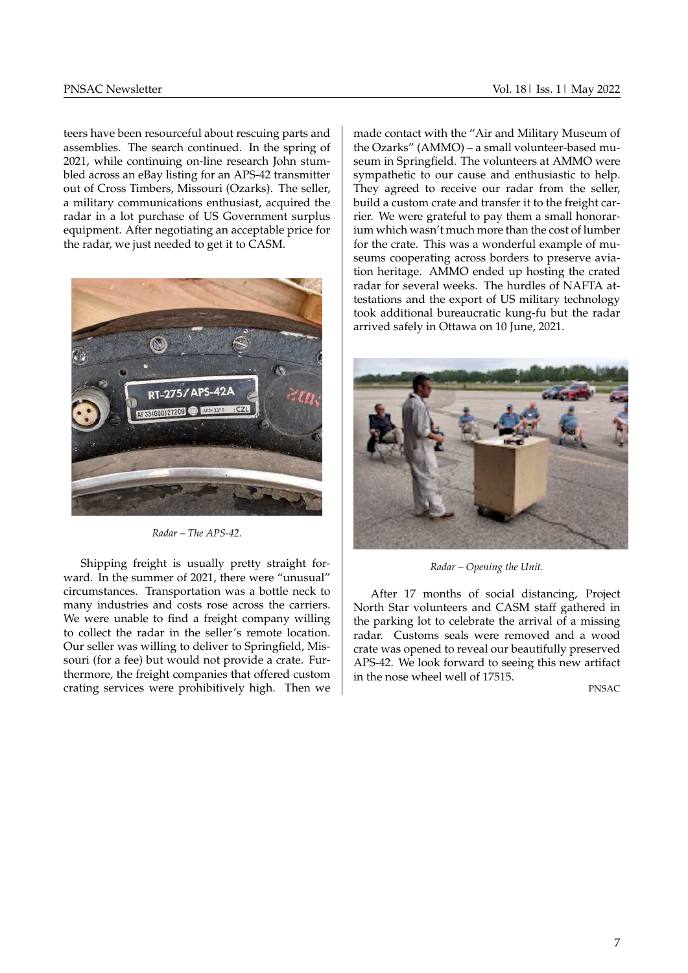teers have been resourceful about rescuing parts and assemblies. The search continued. In the spring of 2021, while continuing on-line research John stumbled across an eBay listing for an APS-42 transmitter out of Cross Timbers, Missouri (Ozarks). The seller, a military communications enthusiast, acquired the radar in a lot purchase of US Government surplus equipment. After negotiating an acceptable price for the radar, we just needed to get it to CASM.

![](_page_6_Picture_3.jpeg)

*Radar ± The APS-42.*

Shipping freight is usually pretty straight forward. In the summer of 2021, there were "unusual" circumstances. Transportation was a bottle neck to many industries and costs rose across the carriers. We were unable to find a freight company willing to collect the radar in the seller's remote location. Our seller was willing to deliver to Springfield, Missouri (for a fee) but would not provide a crate. Furthermore, the freight companies that offered custom crating services were prohibitively high. Then we made contact with the ªAir and Military Museum of the Ozarks" (AMMO) – a small volunteer-based museum in Springfield. The volunteers at AMMO were sympathetic to our cause and enthusiastic to help. They agreed to receive our radar from the seller. build a custom crate and transfer it to the freight carrier. We were grateful to pay them a small honorarium which wasn't much more than the cost of lumber for the crate. This was a wonderful example of museums cooperating across borders to preserve aviation heritage. AMMO ended up hosting the crated radar for several weeks. The hurdles of NAFTA attestations and the export of US military technology took additional bureaucratic kung-fu but the radar arrived safely in Ottawa on 10 June, 2021.

![](_page_6_Picture_7.jpeg)

*Radar ± Opening the Unit.*

After 17 months of social distancing, Project North Star volunteers and CASM staff gathered in the parking lot to celebrate the arrival of a missing radar. Customs seals were removed and a wood crate was opened to reveal our beautifully preserved APS-42. We look forward to seeing this new artifact in the nose wheel well of 17515.

PNSAC